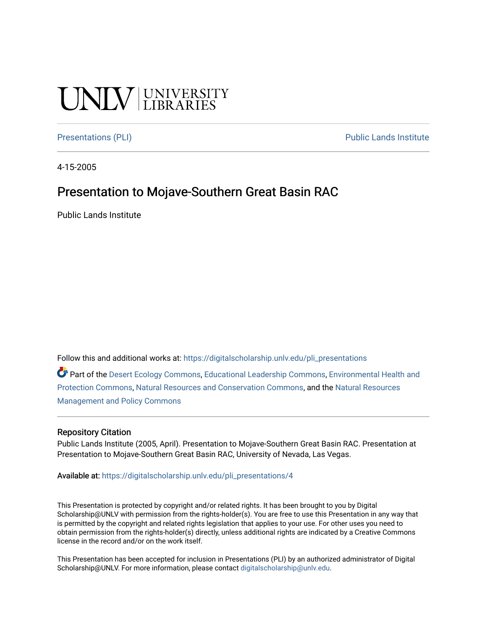#### **CINITY** UNIVERSITY

[Presentations \(PLI\)](https://digitalscholarship.unlv.edu/pli_presentations) Presentations (PLI)

4-15-2005

#### Presentation to Mojave-Southern Great Basin RAC

Public Lands Institute

Follow this and additional works at: [https://digitalscholarship.unlv.edu/pli\\_presentations](https://digitalscholarship.unlv.edu/pli_presentations?utm_source=digitalscholarship.unlv.edu%2Fpli_presentations%2F4&utm_medium=PDF&utm_campaign=PDFCoverPages) 

Part of the [Desert Ecology Commons,](http://network.bepress.com/hgg/discipline/1261?utm_source=digitalscholarship.unlv.edu%2Fpli_presentations%2F4&utm_medium=PDF&utm_campaign=PDFCoverPages) [Educational Leadership Commons](http://network.bepress.com/hgg/discipline/1230?utm_source=digitalscholarship.unlv.edu%2Fpli_presentations%2F4&utm_medium=PDF&utm_campaign=PDFCoverPages), [Environmental Health and](http://network.bepress.com/hgg/discipline/172?utm_source=digitalscholarship.unlv.edu%2Fpli_presentations%2F4&utm_medium=PDF&utm_campaign=PDFCoverPages) [Protection Commons,](http://network.bepress.com/hgg/discipline/172?utm_source=digitalscholarship.unlv.edu%2Fpli_presentations%2F4&utm_medium=PDF&utm_campaign=PDFCoverPages) [Natural Resources and Conservation Commons,](http://network.bepress.com/hgg/discipline/168?utm_source=digitalscholarship.unlv.edu%2Fpli_presentations%2F4&utm_medium=PDF&utm_campaign=PDFCoverPages) and the [Natural Resources](http://network.bepress.com/hgg/discipline/170?utm_source=digitalscholarship.unlv.edu%2Fpli_presentations%2F4&utm_medium=PDF&utm_campaign=PDFCoverPages) [Management and Policy Commons](http://network.bepress.com/hgg/discipline/170?utm_source=digitalscholarship.unlv.edu%2Fpli_presentations%2F4&utm_medium=PDF&utm_campaign=PDFCoverPages) 

#### Repository Citation

Public Lands Institute (2005, April). Presentation to Mojave-Southern Great Basin RAC. Presentation at Presentation to Mojave-Southern Great Basin RAC, University of Nevada, Las Vegas.

Available at: [https://digitalscholarship.unlv.edu/pli\\_presentations/4](https://digitalscholarship.unlv.edu/pli_presentations/4) 

This Presentation is protected by copyright and/or related rights. It has been brought to you by Digital Scholarship@UNLV with permission from the rights-holder(s). You are free to use this Presentation in any way that is permitted by the copyright and related rights legislation that applies to your use. For other uses you need to obtain permission from the rights-holder(s) directly, unless additional rights are indicated by a Creative Commons license in the record and/or on the work itself.

This Presentation has been accepted for inclusion in Presentations (PLI) by an authorized administrator of Digital Scholarship@UNLV. For more information, please contact [digitalscholarship@unlv.edu.](mailto:digitalscholarship@unlv.edu)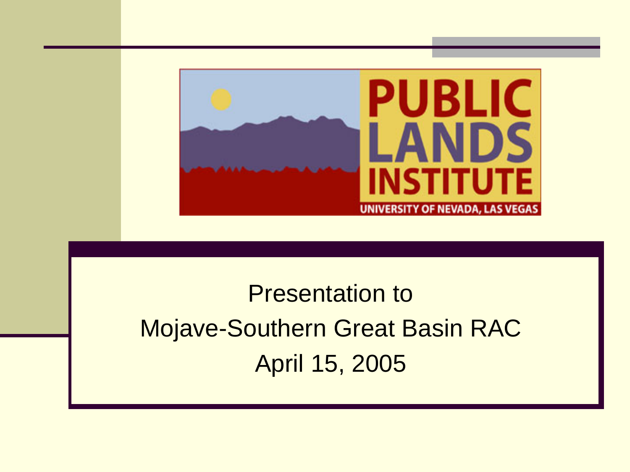

#### Presentation to Mojave-Southern Great Basin RAC April 15, 2005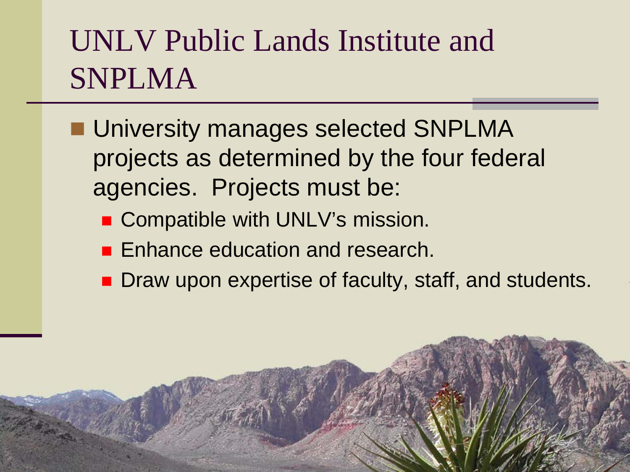#### UNLV Public Lands Institute and **SNPLMA**

- **University manages selected SNPLMA** projects as determined by the four federal agencies. Projects must be:
	- Compatible with UNLV's mission.
	- **Enhance education and research.**
	- Draw upon expertise of faculty, staff, and students.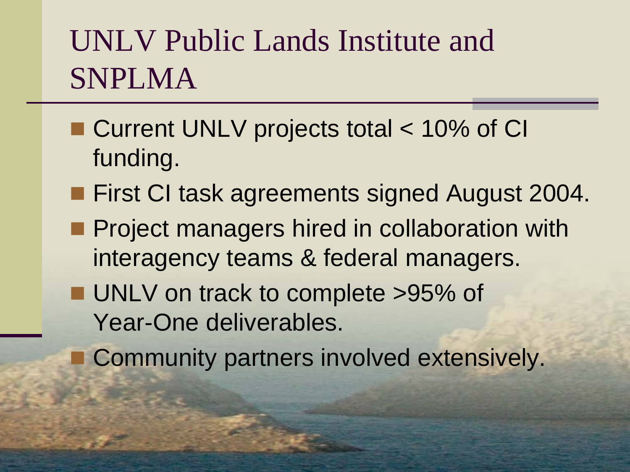#### UNLV Public Lands Institute and SNPLMA

- Current UNLV projects total < 10% of CI funding.
- **First CI task agreements signed August 2004.**
- **Project managers hired in collaboration with** interagency teams & federal managers.
- **UNLV** on track to complete >95% of Year-One deliverables.
	- Community partners involved extensively.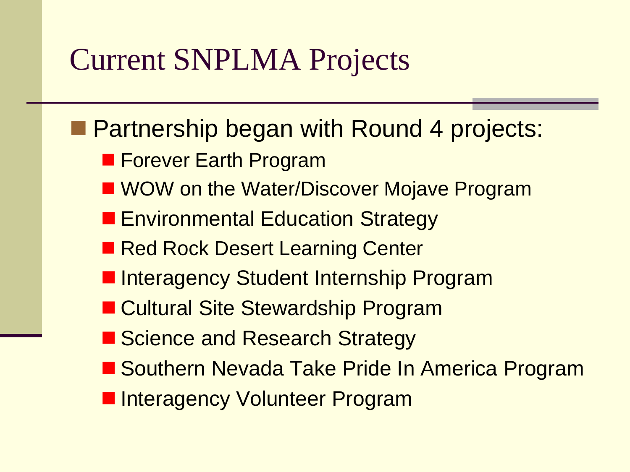#### Current SNPLMA Projects

- **Partnership began with Round 4 projects:** 
	- **Forever Earth Program**
	- WOW on the Water/Discover Mojave Program
	- **Environmental Education Strategy**
	- Red Rock Desert Learning Center
	- **Interagency Student Internship Program**
	- Cultural Site Stewardship Program
	- Science and Research Strategy
	- Southern Nevada Take Pride In America Program
	- **Interagency Volunteer Program**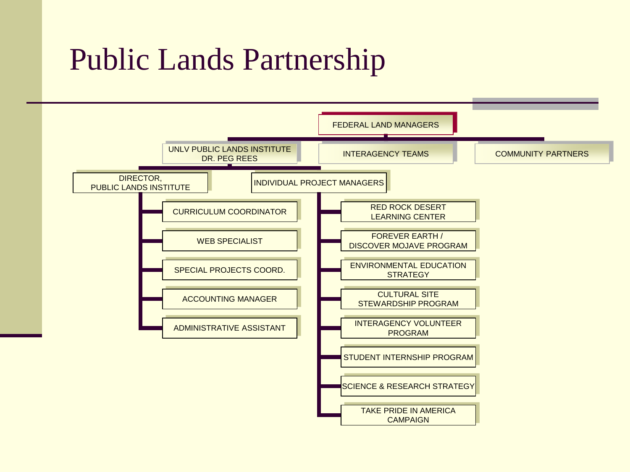#### Public Lands Partnership

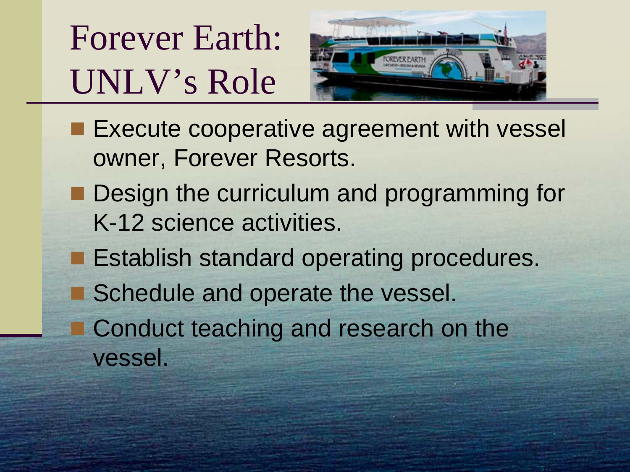Forever Earth: UNLV's Role



- **Execute cooperative agreement with vessel** owner, Forever Resorts.
- Design the curriculum and programming for K-12 science activities.
- **Establish standard operating procedures.**
- Schedule and operate the vessel.
- **Conduct teaching and research on the** vessel.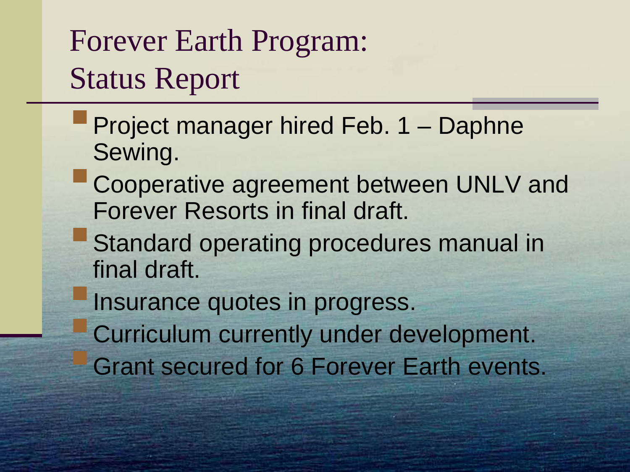#### Forever Earth Program: Status Report

- **Project manager hired Feb. 1 Daphne** Sewing.
- **Cooperative agreement between UNLV and** Forever Resorts in final draft.
- **Standard operating procedures manual in** final draft.
	- Insurance quotes in progress.
	- Curriculum currently under development. Grant secured for 6 Forever Earth events.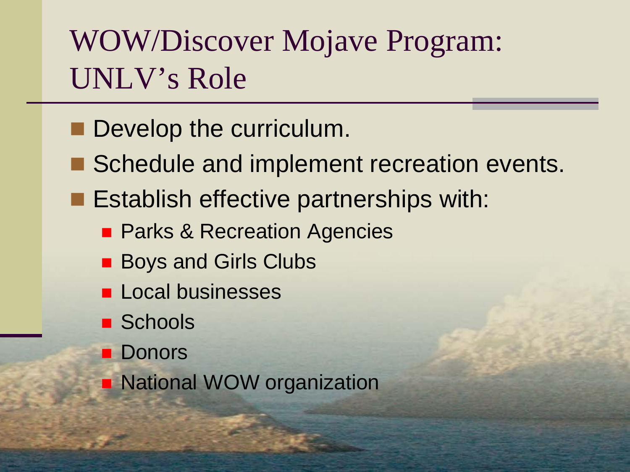#### WOW/Discover Mojave Program: UNLV's Role

- Develop the curriculum.
- Schedule and implement recreation events.
- **Establish effective partnerships with:** 
	- **Parks & Recreation Agencies**
	- Boys and Girls Clubs
	- **Local businesses**
	- **Schools**
	- **Donors**
	- **National WOW organization**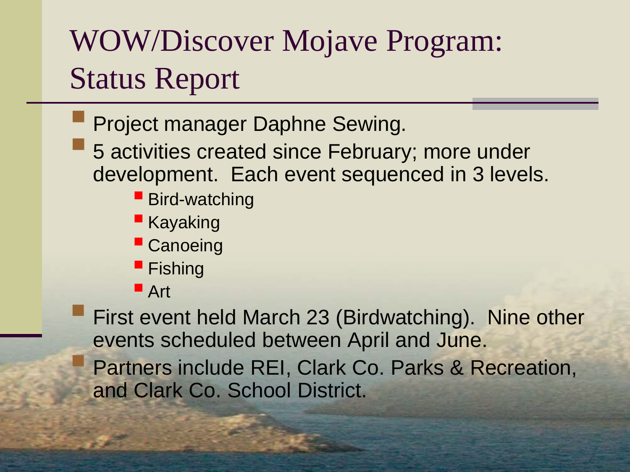#### WOW/Discover Mojave Program: Status Report

- Project manager Daphne Sewing.
- **5 activities created since February; more under** development. Each event sequenced in 3 levels.
	- **Bird-watching**
	- **Kayaking**
	- **Canoeing**
	- **Fishing**
	- Art

 First event held March 23 (Birdwatching). Nine other events scheduled between April and June.

 Partners include REI, Clark Co. Parks & Recreation, and Clark Co. School District.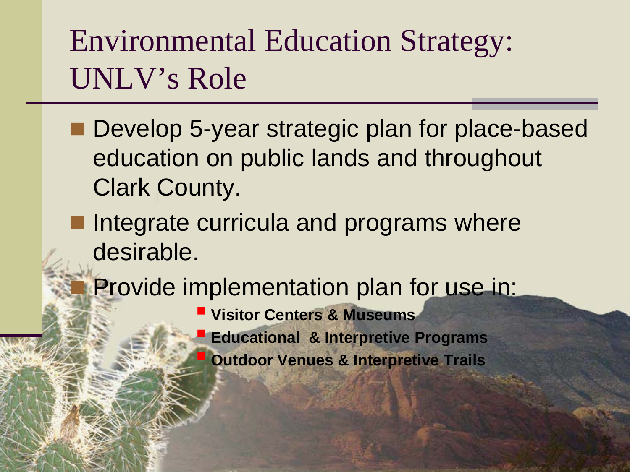#### Environmental Education Strategy: UNLV's Role

- Develop 5-year strategic plan for place-based education on public lands and throughout Clark County.
- **Integrate curricula and programs where** desirable.
	- Provide implementation plan for use in:
		- **Visitor Centers & Museums**
		- **Educational & Interpretive Programs**
			- **Outdoor Venues & Interpretive Trails**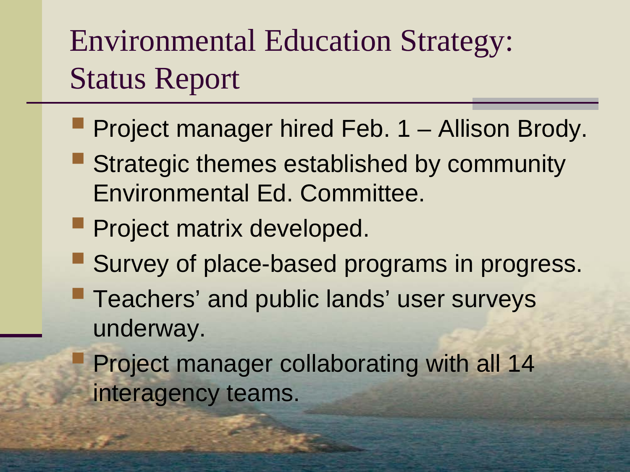#### Environmental Education Strategy: Status Report

- **Project manager hired Feb. 1 Allison Brody.**
- **Strategic themes established by community** Environmental Ed. Committee.
- **Project matrix developed.**
- **Survey of place-based programs in progress.**
- **Teachers' and public lands' user surveys** underway.

 Project manager collaborating with all 14 interagency teams.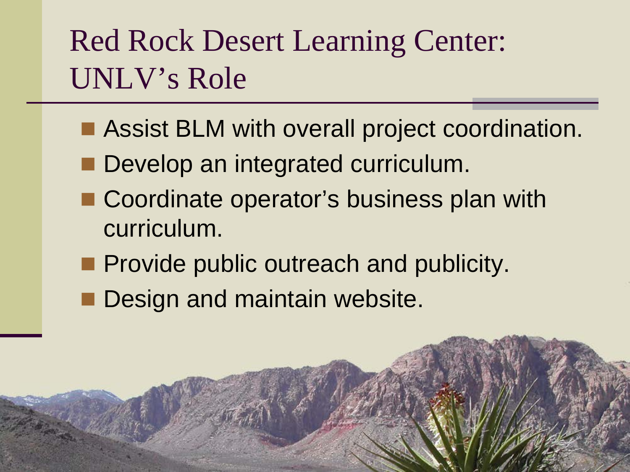#### Red Rock Desert Learning Center: UNLV's Role

- **Assist BLM with overall project coordination.**
- Develop an integrated curriculum.
- Coordinate operator's business plan with curriculum.
- **Provide public outreach and publicity.**
- Design and maintain website.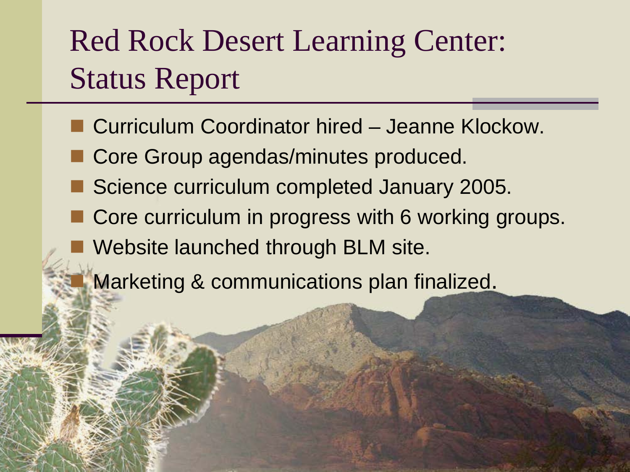#### Red Rock Desert Learning Center: Status Report

- Curriculum Coordinator hired Jeanne Klockow.
- Core Group agendas/minutes produced.
- Science curriculum completed January 2005.
- Core curriculum in progress with 6 working groups.
- Website launched through BLM site.

Marketing & communications plan finalized.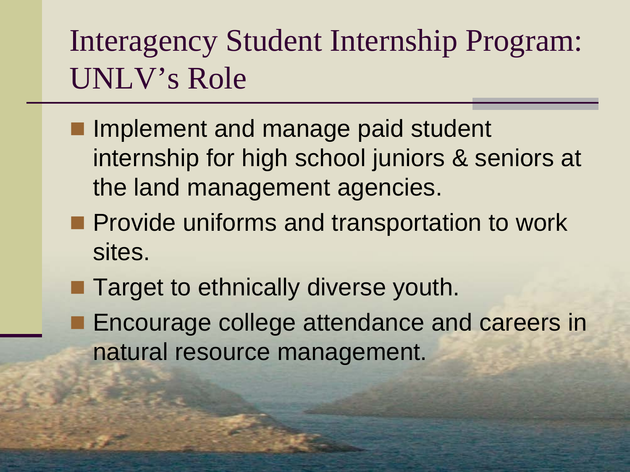#### Interagency Student Internship Program: UNLV's Role

- **I** Implement and manage paid student internship for high school juniors & seniors at the land management agencies.
- **Provide uniforms and transportation to work** sites.
- **Target to ethnically diverse youth.**
- **Encourage college attendance and careers in** natural resource management.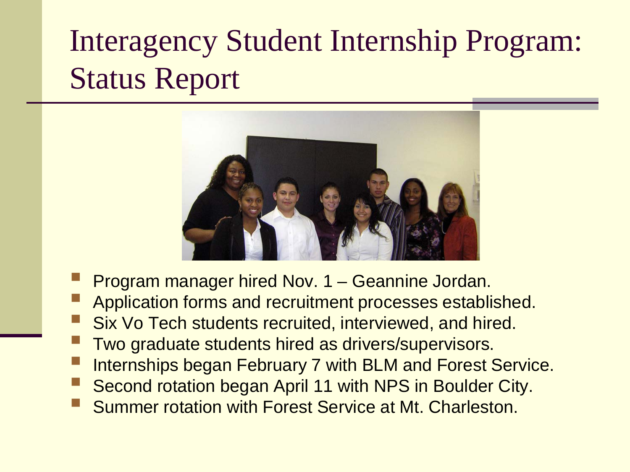### Interagency Student Internship Program: Status Report



- Program manager hired Nov. 1 Geannine Jordan.
- Application forms and recruitment processes established.
- Six Vo Tech students recruited, interviewed, and hired.
- Two graduate students hired as drivers/supervisors.
- Internships began February 7 with BLM and Forest Service.
- Second rotation began April 11 with NPS in Boulder City.
- Summer rotation with Forest Service at Mt. Charleston.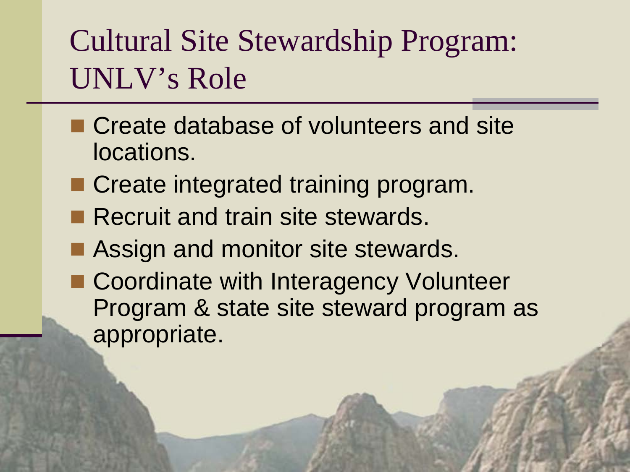#### Cultural Site Stewardship Program: UNLV's Role

- Create database of volunteers and site locations.
- Create integrated training program.
- Recruit and train site stewards.
- **Assign and monitor site stewards.**
- Coordinate with Interagency Volunteer Program & state site steward program as appropriate.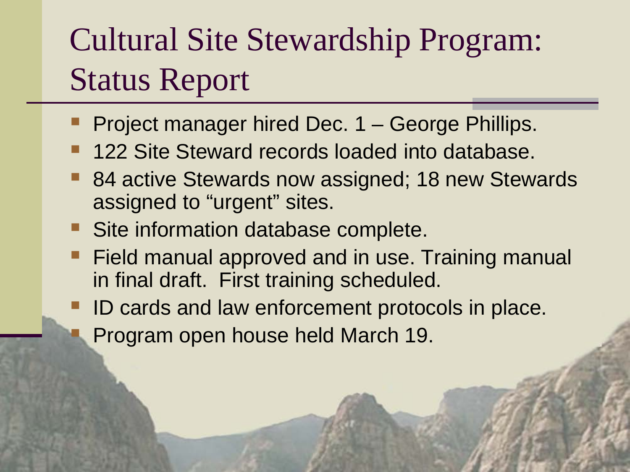# Cultural Site Stewardship Program: Status Report

- Project manager hired Dec. 1 George Phillips.
- 122 Site Steward records loaded into database.
- 84 active Stewards now assigned; 18 new Stewards assigned to "urgent" sites.
- Site information database complete.
- Field manual approved and in use. Training manual in final draft. First training scheduled.
- ID cards and law enforcement protocols in place. Program open house held March 19.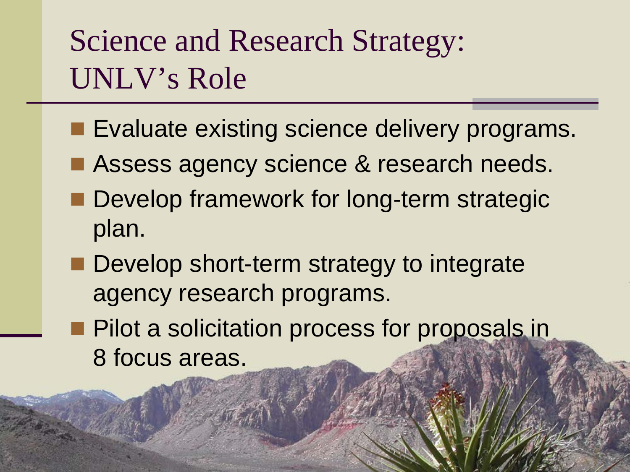#### Science and Research Strategy: UNLV's Role

- **Evaluate existing science delivery programs.**
- Assess agency science & research needs.
- **Develop framework for long-term strategic** plan.
- Develop short-term strategy to integrate agency research programs.
- **Pilot a solicitation process for proposals in** 8 focus areas.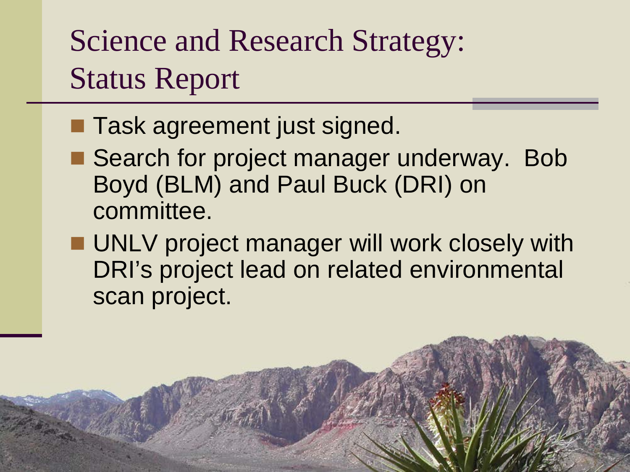Science and Research Strategy: Status Report

- **Task agreement just signed.**
- Search for project manager underway. Bob Boyd (BLM) and Paul Buck (DRI) on committee.
- **UNLV** project manager will work closely with DRI's project lead on related environmental scan project.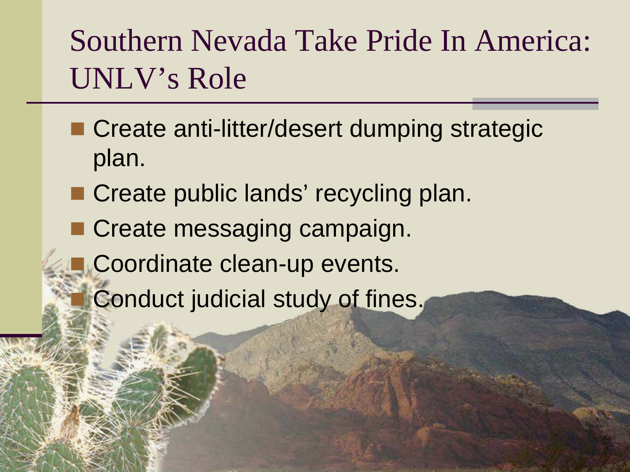#### Southern Nevada Take Pride In America: UNLV's Role

- **Create anti-litter/desert dumping strategic** plan.
- Create public lands' recycling plan.
- Create messaging campaign.
	- Coordinate clean-up events.
		- Conduct judicial study of fines.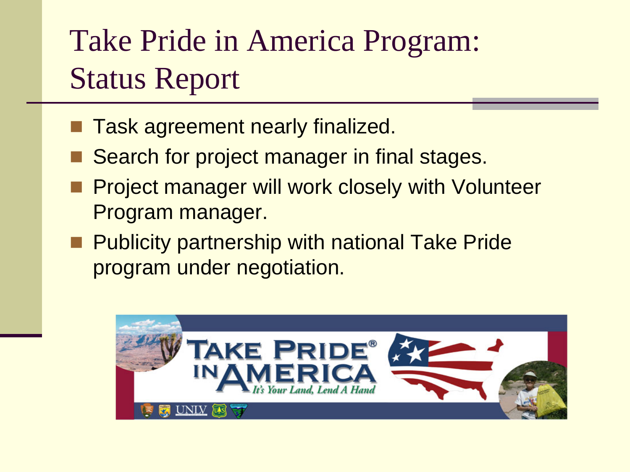### Take Pride in America Program: Status Report

- Task agreement nearly finalized.
- Search for project manager in final stages.
- Project manager will work closely with Volunteer Program manager.
- **Publicity partnership with national Take Pride** program under negotiation.

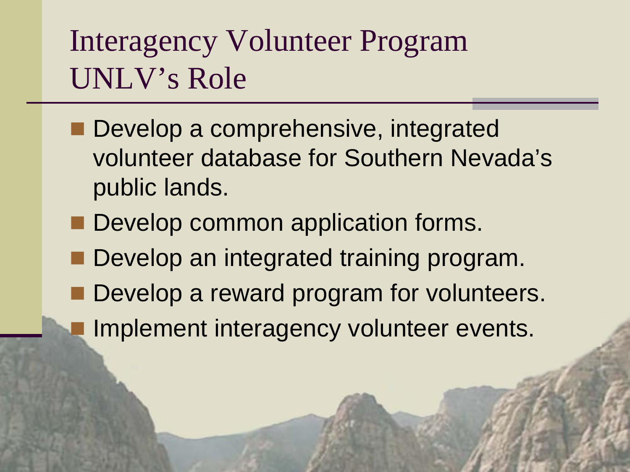#### Interagency Volunteer Program UNLV's Role

- Develop a comprehensive, integrated volunteer database for Southern Nevada's public lands.
- Develop common application forms.
- Develop an integrated training program.
- Develop a reward program for volunteers.
- Implement interagency volunteer events.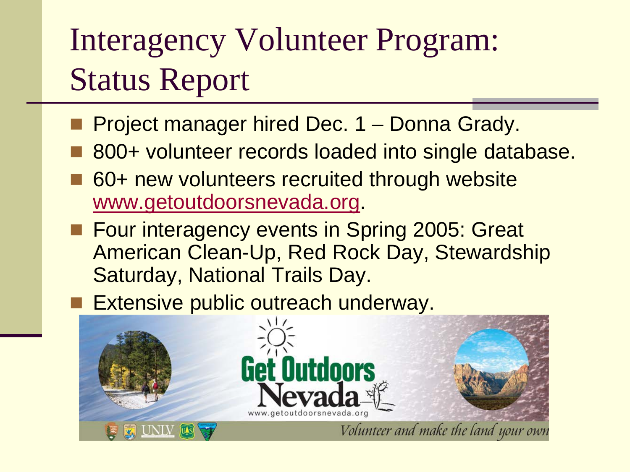# Interagency Volunteer Program: Status Report

- Project manager hired Dec. 1 Donna Grady.
- 800+ volunteer records loaded into single database.
- 60+ new volunteers recruited through website [www.getoutdoorsnevada.org](http://www.getoutdoorsnevada.org/).
- Four interagency events in Spring 2005: Great American Clean-Up, Red Rock Day, Stewardship Saturday, National Trails Day.
	- Extensive public outreach underway.

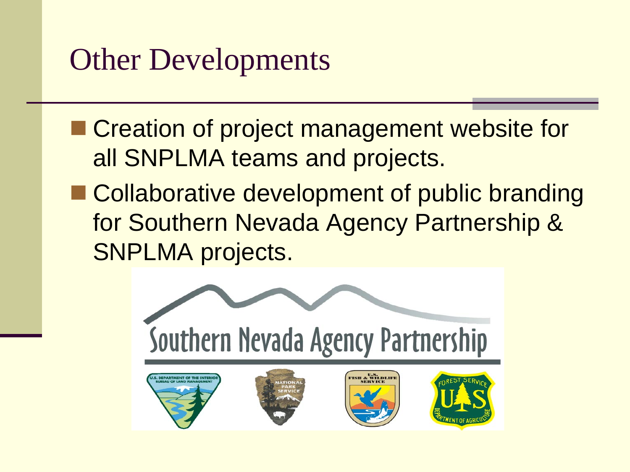#### Other Developments

- Creation of project management website for all SNPLMA teams and projects.
- Collaborative development of public branding for Southern Nevada Agency Partnership & SNPLMA projects.